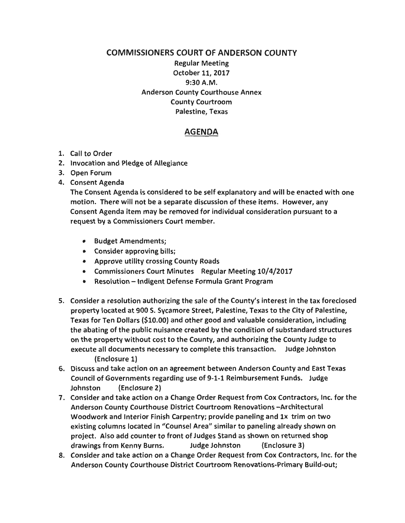## COMMISSIONERS COURT OF ANDERSON COUNTY Regular Meeting October 11, 2017 9:30A.M. Anderson County Courthouse Annex County Courtroom Palestine, Texas

## AGENDA

- 1. Call to Order
- 2. Invocation and Pledge of Allegiance
- 3. Open Forum
- 4. Consent Agenda

The Consent Agenda is considered to be self explanatory and will be enacted with one motion. There will not be a separate discussion of these items. However, any Consent Agenda item may be removed for individual consideration pursuant to a request by a Commissioners Court member.

- Budget Amendments;
- Consider approving bills;
- Approve utility crossing County Roads
- Commissioners Court Minutes Regular Meeting 10/4/2017
- Resolution Indigent Defense Formula Grant Program
- 5. Consider a resolution authorizing the sale of the County's interest in the tax foreclosed property located at 900 S. Sycamore Street, Palestine, Texas to the City of Palestine, Texas for Ten Dollars (\$10.00) and other good and valuable consideration, including the abating of the public nuisance created by the condition of substandard structures on the property without cost to the County, and authorizing the County Judge to execute all documents necessary to complete this transaction. Judge Johnston (Enclosure 1)
- 6. Discuss and take action on an agreement between Anderson County and East Texas Council of Governments regarding use of 9-1-1 Reimbursement Funds. Judge Johnston (Enclosure 2)
- 7. Consider and take action on a Change Order Request from Cox Contractors, Inc. for the Anderson County Courthouse District Courtroom Renovations -Architectural Woodwork and Interior Finish Carpentry; provide paneling and 1x trim on two existing columns located in "Counsel Area" similar to paneling already shown on project. Also add counter to front of Judges Stand as shown on returned shop drawings from Kenny Burns. Judge Johnston (Enclosure 3)
- 8. Consider and take action on a Change Order Request from Cox Contractors, Inc. for the Anderson County Courthouse District Courtroom Renovations-Primary Build-out;